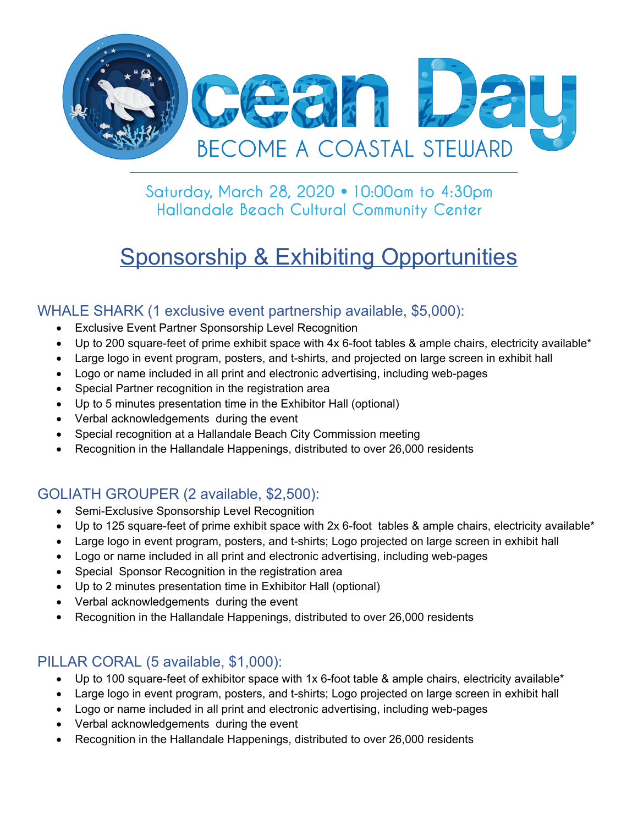

Saturday, March 28, 2020 . 10:00am to 4:30pm Hallandale Beach Cultural Community Center

# **Sponsorship & Exhibiting Opportunities**

#### WHALE SHARK (1 exclusive event partnership available, \$5,000):

- Exclusive Event Partner Sponsorship Level Recognition
- Up to 200 square-feet of prime exhibit space with 4x 6-foot tables & ample chairs, electricity available\*
- Large logo in event program, posters, and t-shirts, and projected on large screen in exhibit hall
- Logo or name included in all print and electronic advertising, including web-pages
- Special Partner recognition in the registration area
- Up to 5 minutes presentation time in the Exhibitor Hall (optional)
- Verbal acknowledgements during the event
- Special recognition at a Hallandale Beach City Commission meeting
- Recognition in the Hallandale Happenings, distributed to over 26,000 residents

#### GOLIATH GROUPER (2 available, \$2,500):

- Semi-Exclusive Sponsorship Level Recognition
- Up to 125 square-feet of prime exhibit space with 2x 6-foot tables & ample chairs, electricity available\*
- Large logo in event program, posters, and t-shirts; Logo projected on large screen in exhibit hall
- Logo or name included in all print and electronic advertising, including web-pages
- Special Sponsor Recognition in the registration area
- Up to 2 minutes presentation time in Exhibitor Hall (optional)
- Verbal acknowledgements during the event
- Recognition in the Hallandale Happenings, distributed to over 26,000 residents

#### PILLAR CORAL (5 available, \$1,000):

- Up to 100 square-feet of exhibitor space with 1x 6-foot table & ample chairs, electricity available\*
- Large logo in event program, posters, and t-shirts; Logo projected on large screen in exhibit hall
- Logo or name included in all print and electronic advertising, including web-pages
- Verbal acknowledgements during the event
- Recognition in the Hallandale Happenings, distributed to over 26,000 residents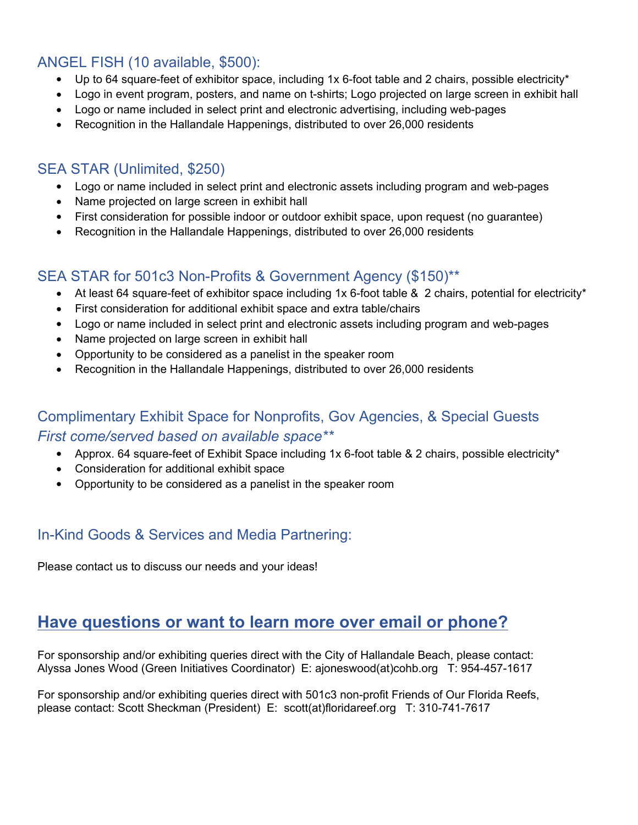#### ANGEL FISH (10 available, \$500):

- $\bullet$  Up to 64 square-feet of exhibitor space, including 1x 6-foot table and 2 chairs, possible electricity\*
- Logo in event program, posters, and name on t-shirts; Logo projected on large screen in exhibit hall
- Logo or name included in select print and electronic advertising, including web-pages
- Recognition in the Hallandale Happenings, distributed to over 26,000 residents

#### SEA STAR (Unlimited, \$250)

- Logo or name included in select print and electronic assets including program and web-pages
- Name projected on large screen in exhibit hall
- First consideration for possible indoor or outdoor exhibit space, upon request (no guarantee)
- Recognition in the Hallandale Happenings, distributed to over 26,000 residents

#### SEA STAR for 501c3 Non-Profits & Government Agency (\$150)\*\*

- At least 64 square-feet of exhibitor space including 1x 6-foot table & 2 chairs, potential for electricity\*
- First consideration for additional exhibit space and extra table/chairs
- Logo or name included in select print and electronic assets including program and web-pages
- Name projected on large screen in exhibit hall
- Opportunity to be considered as a panelist in the speaker room
- Recognition in the Hallandale Happenings, distributed to over 26,000 residents

#### Complimentary Exhibit Space for Nonprofits, Gov Agencies, & Special Guests *First come/served based on available space\*\**

- Approx. 64 square-feet of Exhibit Space including 1x 6-foot table & 2 chairs, possible electricity\*
- Consideration for additional exhibit space
- Opportunity to be considered as a panelist in the speaker room

#### In-Kind Goods & Services and Media Partnering:

Please contact us to discuss our needs and your ideas!

## **Have questions or want to learn more over email or phone?**

For sponsorship and/or exhibiting queries direct with the City of Hallandale Beach, please contact: Alyssa Jones Wood (Green Initiatives Coordinator) E: ajoneswood(at)cohb.org T: 954-457-1617

For sponsorship and/or exhibiting queries direct with 501c3 non-profit Friends of Our Florida Reefs, please contact: Scott Sheckman (President) E: scott(at)floridareef.org T: 310-741-7617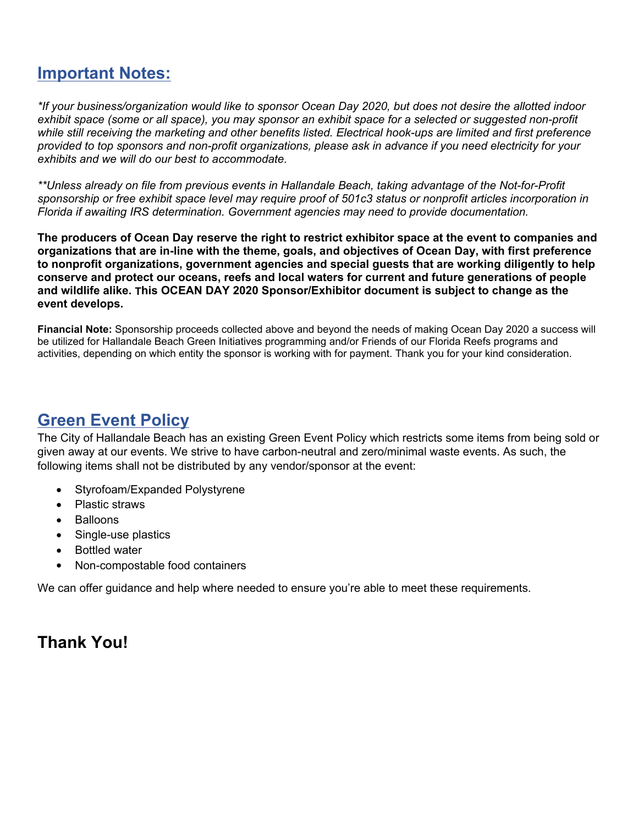# **Important Notes:**

*\*If your business/organization would like to sponsor Ocean Day 2020, but does not desire the allotted indoor exhibit space (some or all space), you may sponsor an exhibit space for a selected or suggested non-profit while still receiving the marketing and other benefits listed. Electrical hook-ups are limited and first preference provided to top sponsors and non-profit organizations, please ask in advance if you need electricity for your exhibits and we will do our best to accommodate.*

*\*\*Unless already on file from previous events in Hallandale Beach, taking advantage of the Not-for-Profit sponsorship or free exhibit space level may require proof of 501c3 status or nonprofit articles incorporation in Florida if awaiting IRS determination. Government agencies may need to provide documentation.*

**The producers of Ocean Day reserve the right to restrict exhibitor space at the event to companies and organizations that are in-line with the theme, goals, and objectives of Ocean Day, with first preference to nonprofit organizations, government agencies and special guests that are working diligently to help conserve and protect our oceans, reefs and local waters for current and future generations of people and wildlife alike. This OCEAN DAY 2020 Sponsor/Exhibitor document is subject to change as the event develops.**

**Financial Note:** Sponsorship proceeds collected above and beyond the needs of making Ocean Day 2020 a success will be utilized for Hallandale Beach Green Initiatives programming and/or Friends of our Florida Reefs programs and activities, depending on which entity the sponsor is working with for payment. Thank you for your kind consideration.

# **Green Event Policy**

The City of Hallandale Beach has an existing Green Event Policy which restricts some items from being sold or given away at our events. We strive to have carbon-neutral and zero/minimal waste events. As such, the following items shall not be distributed by any vendor/sponsor at the event:

- Styrofoam/Expanded Polystyrene
- Plastic straws
- Balloons
- Single-use plastics
- Bottled water
- Non-compostable food containers

We can offer guidance and help where needed to ensure you're able to meet these requirements.

## **Thank You!**